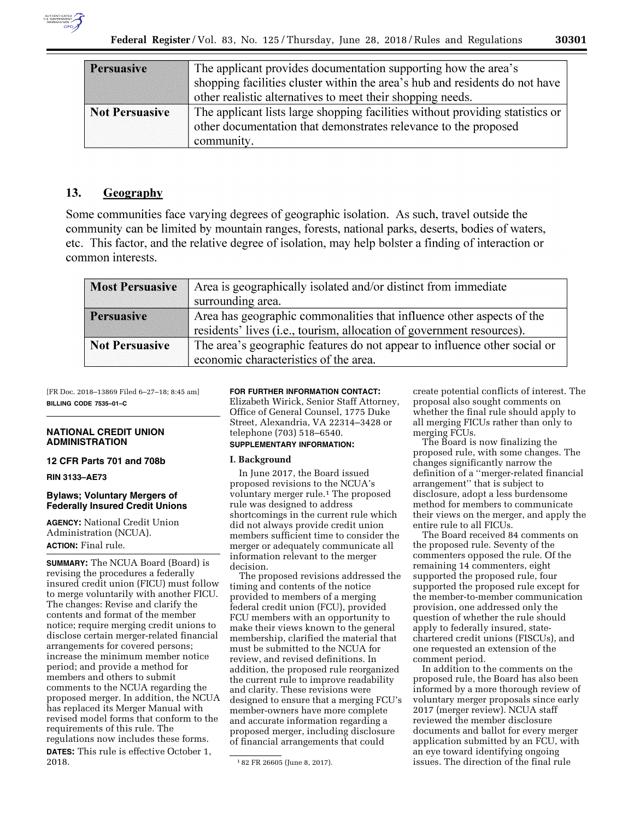| <b>Persuasive</b>     | The applicant provides documentation supporting how the area's                |  |  |
|-----------------------|-------------------------------------------------------------------------------|--|--|
|                       | shopping facilities cluster within the area's hub and residents do not have   |  |  |
|                       | other realistic alternatives to meet their shopping needs.                    |  |  |
| <b>Not Persuasive</b> | The applicant lists large shopping facilities without providing statistics or |  |  |
|                       | other documentation that demonstrates relevance to the proposed               |  |  |
|                       | community.                                                                    |  |  |

#### 13. Geography

Some communities face varying degrees of geographic isolation. As such, travel outside the community can be limited by mountain ranges, forests, national parks, deserts, bodies of waters, etc. This factor, and the relative degree of isolation, may help bolster a finding of interaction or common interests.

| <b>Most Persuasive</b> | Area is geographically isolated and/or distinct from immediate            |  |
|------------------------|---------------------------------------------------------------------------|--|
|                        | surrounding area.                                                         |  |
| <b>Persuasive</b>      | Area has geographic commonalities that influence other aspects of the     |  |
|                        | residents' lives (i.e., tourism, allocation of government resources).     |  |
| <b>Not Persuasive</b>  | The area's geographic features do not appear to influence other social or |  |
|                        | economic characteristics of the area.                                     |  |

[FR Doc. 2018–13869 Filed 6–27–18; 8:45 am] **BILLING CODE 7535–01–C** 

#### **NATIONAL CREDIT UNION ADMINISTRATION**

## **12 CFR Parts 701 and 708b**

**RIN 3133–AE73** 

# **Bylaws; Voluntary Mergers of Federally Insured Credit Unions**

**AGENCY:** National Credit Union Administration (NCUA). **ACTION:** Final rule.

**SUMMARY:** The NCUA Board (Board) is revising the procedures a federally insured credit union (FICU) must follow to merge voluntarily with another FICU. The changes: Revise and clarify the contents and format of the member notice; require merging credit unions to disclose certain merger-related financial arrangements for covered persons; increase the minimum member notice period; and provide a method for members and others to submit comments to the NCUA regarding the proposed merger. In addition, the NCUA has replaced its Merger Manual with revised model forms that conform to the requirements of this rule. The regulations now includes these forms. **DATES:** This rule is effective October 1, 2018.

# **FOR FURTHER INFORMATION CONTACT:**

Elizabeth Wirick, Senior Staff Attorney, Office of General Counsel, 1775 Duke Street, Alexandria, VA 22314–3428 or telephone (703) 518–6540.

# **SUPPLEMENTARY INFORMATION:**

#### **I. Background**

In June 2017, the Board issued proposed revisions to the NCUA's voluntary merger rule.1 The proposed rule was designed to address shortcomings in the current rule which did not always provide credit union members sufficient time to consider the merger or adequately communicate all information relevant to the merger decision.

The proposed revisions addressed the timing and contents of the notice provided to members of a merging federal credit union (FCU), provided FCU members with an opportunity to make their views known to the general membership, clarified the material that must be submitted to the NCUA for review, and revised definitions. In addition, the proposed rule reorganized the current rule to improve readability and clarity. These revisions were designed to ensure that a merging FCU's member-owners have more complete and accurate information regarding a proposed merger, including disclosure of financial arrangements that could

create potential conflicts of interest. The proposal also sought comments on whether the final rule should apply to all merging FICUs rather than only to merging FCUs.

The Board is now finalizing the proposed rule, with some changes. The changes significantly narrow the definition of a ''merger-related financial arrangement'' that is subject to disclosure, adopt a less burdensome method for members to communicate their views on the merger, and apply the entire rule to all FICUs.

The Board received 84 comments on the proposed rule. Seventy of the commenters opposed the rule. Of the remaining 14 commenters, eight supported the proposed rule, four supported the proposed rule except for the member-to-member communication provision, one addressed only the question of whether the rule should apply to federally insured, statechartered credit unions (FISCUs), and one requested an extension of the comment period.

In addition to the comments on the proposed rule, the Board has also been informed by a more thorough review of voluntary merger proposals since early 2017 (merger review). NCUA staff reviewed the member disclosure documents and ballot for every merger application submitted by an FCU, with an eye toward identifying ongoing issues. The direction of the final rule

<sup>1</sup> 82 FR 26605 (June 8, 2017).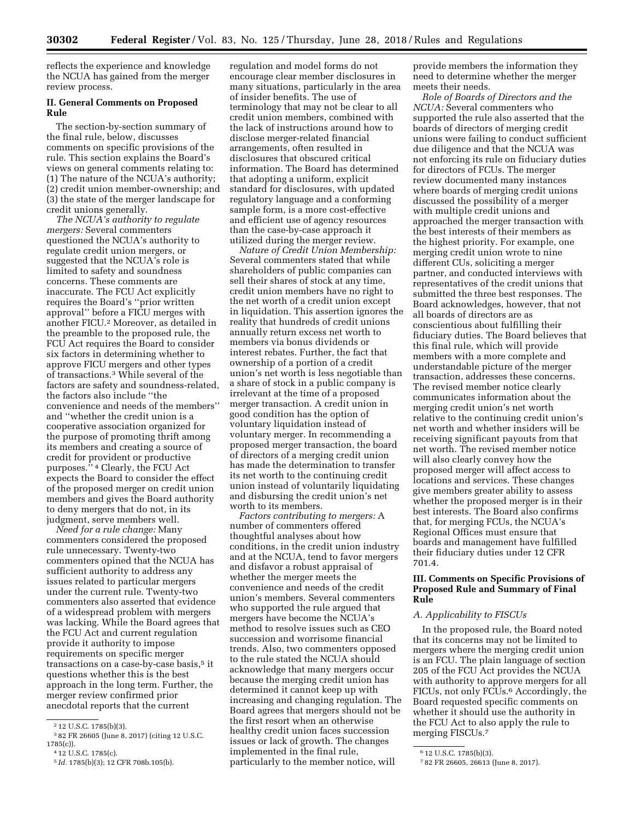reflects the experience and knowledge the NCUA has gained from the merger review process.

#### **II. General Comments on Proposed Rule**

The section-by-section summary of the final rule, below, discusses comments on specific provisions of the rule. This section explains the Board's views on general comments relating to: (1) The nature of the NCUA's authority; (2) credit union member-ownership; and (3) the state of the merger landscape for credit unions generally.

*The NCUA's authority to regulate mergers:* Several commenters questioned the NCUA's authority to regulate credit union mergers, or suggested that the NCUA's role is limited to safety and soundness concerns. These comments are inaccurate. The FCU Act explicitly requires the Board's ''prior written approval'' before a FICU merges with another FICU.2 Moreover, as detailed in the preamble to the proposed rule, the FCU Act requires the Board to consider six factors in determining whether to approve FICU mergers and other types of transactions.3 While several of the factors are safety and soundness-related, the factors also include ''the convenience and needs of the members'' and ''whether the credit union is a cooperative association organized for the purpose of promoting thrift among its members and creating a source of credit for provident or productive purposes.'' 4 Clearly, the FCU Act expects the Board to consider the effect of the proposed merger on credit union members and gives the Board authority to deny mergers that do not, in its judgment, serve members well.

*Need for a rule change:* Many commenters considered the proposed rule unnecessary. Twenty-two commenters opined that the NCUA has sufficient authority to address any issues related to particular mergers under the current rule. Twenty-two commenters also asserted that evidence of a widespread problem with mergers was lacking. While the Board agrees that the FCU Act and current regulation provide it authority to impose requirements on specific merger transactions on a case-by-case basis,<sup>5</sup> it questions whether this is the best approach in the long term. Further, the merger review confirmed prior anecdotal reports that the current

regulation and model forms do not encourage clear member disclosures in many situations, particularly in the area of insider benefits. The use of terminology that may not be clear to all credit union members, combined with the lack of instructions around how to disclose merger-related financial arrangements, often resulted in disclosures that obscured critical information. The Board has determined that adopting a uniform, explicit standard for disclosures, with updated regulatory language and a conforming sample form, is a more cost-effective and efficient use of agency resources than the case-by-case approach it utilized during the merger review.

*Nature of Credit Union Membership:*  Several commenters stated that while shareholders of public companies can sell their shares of stock at any time, credit union members have no right to the net worth of a credit union except in liquidation. This assertion ignores the reality that hundreds of credit unions annually return excess net worth to members via bonus dividends or interest rebates. Further, the fact that ownership of a portion of a credit union's net worth is less negotiable than a share of stock in a public company is irrelevant at the time of a proposed merger transaction. A credit union in good condition has the option of voluntary liquidation instead of voluntary merger. In recommending a proposed merger transaction, the board of directors of a merging credit union has made the determination to transfer its net worth to the continuing credit union instead of voluntarily liquidating and disbursing the credit union's net worth to its members.

*Factors contributing to mergers:* A number of commenters offered thoughtful analyses about how conditions, in the credit union industry and at the NCUA, tend to favor mergers and disfavor a robust appraisal of whether the merger meets the convenience and needs of the credit union's members. Several commenters who supported the rule argued that mergers have become the NCUA's method to resolve issues such as CEO succession and worrisome financial trends. Also, two commenters opposed to the rule stated the NCUA should acknowledge that many mergers occur because the merging credit union has determined it cannot keep up with increasing and changing regulation. The Board agrees that mergers should not be the first resort when an otherwise healthy credit union faces succession issues or lack of growth. The changes implemented in the final rule, particularly to the member notice, will

provide members the information they need to determine whether the merger meets their needs.

*Role of Boards of Directors and the NCUA:* Several commenters who supported the rule also asserted that the boards of directors of merging credit unions were failing to conduct sufficient due diligence and that the NCUA was not enforcing its rule on fiduciary duties for directors of FCUs. The merger review documented many instances where boards of merging credit unions discussed the possibility of a merger with multiple credit unions and approached the merger transaction with the best interests of their members as the highest priority. For example, one merging credit union wrote to nine different CUs, soliciting a merger partner, and conducted interviews with representatives of the credit unions that submitted the three best responses. The Board acknowledges, however, that not all boards of directors are as conscientious about fulfilling their fiduciary duties. The Board believes that this final rule, which will provide members with a more complete and understandable picture of the merger transaction, addresses these concerns. The revised member notice clearly communicates information about the merging credit union's net worth relative to the continuing credit union's net worth and whether insiders will be receiving significant payouts from that net worth. The revised member notice will also clearly convey how the proposed merger will affect access to locations and services. These changes give members greater ability to assess whether the proposed merger is in their best interests. The Board also confirms that, for merging FCUs, the NCUA's Regional Offices must ensure that boards and management have fulfilled their fiduciary duties under 12 CFR 701.4.

## **III. Comments on Specific Provisions of Proposed Rule and Summary of Final Rule**

#### *A. Applicability to FISCUs*

In the proposed rule, the Board noted that its concerns may not be limited to mergers where the merging credit union is an FCU. The plain language of section 205 of the FCU Act provides the NCUA with authority to approve mergers for all FICUs, not only FCUs.6 Accordingly, the Board requested specific comments on whether it should use the authority in the FCU Act to also apply the rule to merging FISCUs.7

<sup>2</sup> 12 U.S.C. 1785(b)(3).

<sup>3</sup> 82 FR 26605 (June 8, 2017) (citing 12 U.S.C. 1785(c)).

<sup>4</sup> 12 U.S.C. 1785(c).

<sup>5</sup> *Id.* 1785(b)(3); 12 CFR 708b.105(b).

<sup>6</sup> 12 U.S.C. 1785(b)(3).

<sup>7</sup> 82 FR 26605, 26613 (June 8, 2017).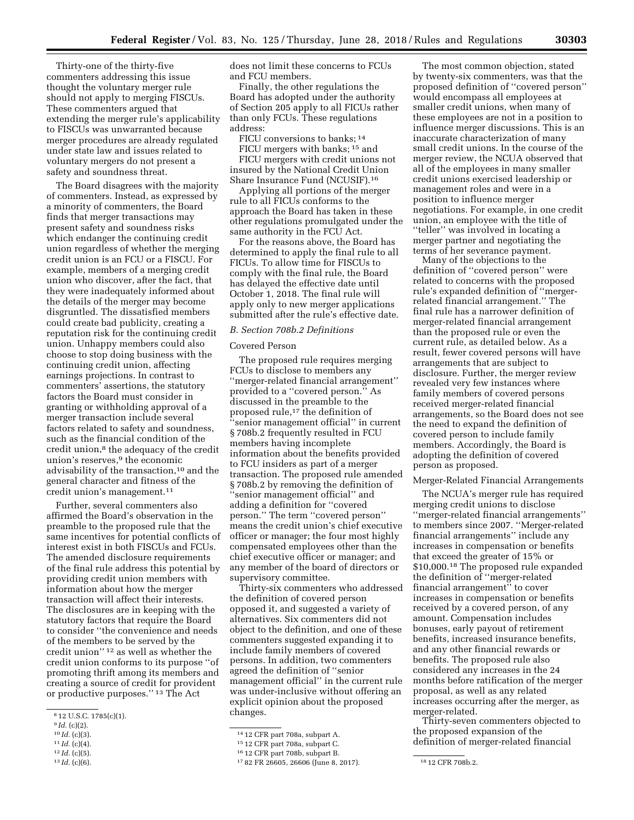Thirty-one of the thirty-five commenters addressing this issue thought the voluntary merger rule should not apply to merging FISCUs. These commenters argued that extending the merger rule's applicability to FISCUs was unwarranted because merger procedures are already regulated under state law and issues related to voluntary mergers do not present a safety and soundness threat.

The Board disagrees with the majority of commenters. Instead, as expressed by a minority of commenters, the Board finds that merger transactions may present safety and soundness risks which endanger the continuing credit union regardless of whether the merging credit union is an FCU or a FISCU. For example, members of a merging credit union who discover, after the fact, that they were inadequately informed about the details of the merger may become disgruntled. The dissatisfied members could create bad publicity, creating a reputation risk for the continuing credit union. Unhappy members could also choose to stop doing business with the continuing credit union, affecting earnings projections. In contrast to commenters' assertions, the statutory factors the Board must consider in granting or withholding approval of a merger transaction include several factors related to safety and soundness, such as the financial condition of the credit union,<sup>8</sup> the adequacy of the credit union's reserves,<sup>9</sup> the economic advisability of the transaction,<sup>10</sup> and the general character and fitness of the credit union's management.<sup>11</sup>

Further, several commenters also affirmed the Board's observation in the preamble to the proposed rule that the same incentives for potential conflicts of interest exist in both FISCUs and FCUs. The amended disclosure requirements of the final rule address this potential by providing credit union members with information about how the merger transaction will affect their interests. The disclosures are in keeping with the statutory factors that require the Board to consider ''the convenience and needs of the members to be served by the credit union'' 12 as well as whether the credit union conforms to its purpose ''of promoting thrift among its members and creating a source of credit for provident or productive purposes.'' 13 The Act

- 10 *Id.* (c)(3).
- 11 *Id.* (c)(4).
- 12 *Id.* (c)(5).
- 13 *Id.* (c)(6).

does not limit these concerns to FCUs and FCU members.

Finally, the other regulations the Board has adopted under the authority of Section 205 apply to all FICUs rather than only FCUs. These regulations address:

FICU conversions to banks; 14

FICU mergers with banks; 15 and FICU mergers with credit unions not insured by the National Credit Union Share Insurance Fund (NCUSIF).16

Applying all portions of the merger rule to all FICUs conforms to the approach the Board has taken in these other regulations promulgated under the same authority in the FCU Act.

For the reasons above, the Board has determined to apply the final rule to all FICUs. To allow time for FISCUs to comply with the final rule, the Board has delayed the effective date until October 1, 2018. The final rule will apply only to new merger applications submitted after the rule's effective date.

#### *B. Section 708b.2 Definitions*

#### Covered Person

The proposed rule requires merging FCUs to disclose to members any ''merger-related financial arrangement'' provided to a ''covered person.'' As discussed in the preamble to the proposed rule,<sup>17</sup> the definition of ''senior management official'' in current § 708b.2 frequently resulted in FCU members having incomplete information about the benefits provided to FCU insiders as part of a merger transaction. The proposed rule amended § 708b.2 by removing the definition of ''senior management official'' and adding a definition for ''covered person.'' The term ''covered person'' means the credit union's chief executive officer or manager; the four most highly compensated employees other than the chief executive officer or manager; and any member of the board of directors or supervisory committee.

Thirty-six commenters who addressed the definition of covered person opposed it, and suggested a variety of alternatives. Six commenters did not object to the definition, and one of these commenters suggested expanding it to include family members of covered persons. In addition, two commenters agreed the definition of ''senior management official'' in the current rule was under-inclusive without offering an explicit opinion about the proposed changes.

The most common objection, stated by twenty-six commenters, was that the proposed definition of ''covered person'' would encompass all employees at smaller credit unions, when many of these employees are not in a position to influence merger discussions. This is an inaccurate characterization of many small credit unions. In the course of the merger review, the NCUA observed that all of the employees in many smaller credit unions exercised leadership or management roles and were in a position to influence merger negotiations. For example, in one credit union, an employee with the title of ''teller'' was involved in locating a merger partner and negotiating the terms of her severance payment.

Many of the objections to the definition of ''covered person'' were related to concerns with the proposed rule's expanded definition of ''mergerrelated financial arrangement.'' The final rule has a narrower definition of merger-related financial arrangement than the proposed rule or even the current rule, as detailed below. As a result, fewer covered persons will have arrangements that are subject to disclosure. Further, the merger review revealed very few instances where family members of covered persons received merger-related financial arrangements, so the Board does not see the need to expand the definition of covered person to include family members. Accordingly, the Board is adopting the definition of covered person as proposed.

#### Merger-Related Financial Arrangements

The NCUA's merger rule has required merging credit unions to disclose ''merger-related financial arrangements'' to members since 2007. ''Merger-related financial arrangements'' include any increases in compensation or benefits that exceed the greater of 15% or \$10,000.18 The proposed rule expanded the definition of ''merger-related financial arrangement'' to cover increases in compensation or benefits received by a covered person, of any amount. Compensation includes bonuses, early payout of retirement benefits, increased insurance benefits, and any other financial rewards or benefits. The proposed rule also considered any increases in the 24 months before ratification of the merger proposal, as well as any related increases occurring after the merger, as merger-related.

Thirty-seven commenters objected to the proposed expansion of the definition of merger-related financial

<sup>8</sup> 12 U.S.C. 1785(c)(1).

<sup>9</sup> *Id.* (c)(2).

<sup>14</sup> 12 CFR part 708a, subpart A.

<sup>15</sup> 12 CFR part 708a, subpart C.

<sup>16</sup> 12 CFR part 708b, subpart B.

<sup>17</sup> 82 FR 26605, 26606 (June 8, 2017). 18 12 CFR 708b.2.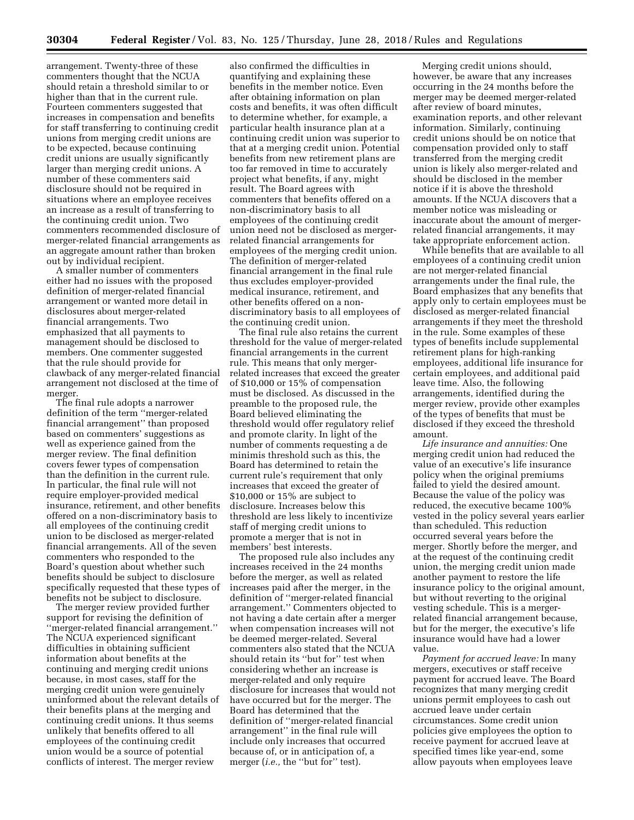arrangement. Twenty-three of these commenters thought that the NCUA should retain a threshold similar to or higher than that in the current rule. Fourteen commenters suggested that increases in compensation and benefits for staff transferring to continuing credit unions from merging credit unions are to be expected, because continuing credit unions are usually significantly larger than merging credit unions. A number of these commenters said disclosure should not be required in situations where an employee receives an increase as a result of transferring to the continuing credit union. Two commenters recommended disclosure of merger-related financial arrangements as an aggregate amount rather than broken out by individual recipient.

A smaller number of commenters either had no issues with the proposed definition of merger-related financial arrangement or wanted more detail in disclosures about merger-related financial arrangements. Two emphasized that all payments to management should be disclosed to members. One commenter suggested that the rule should provide for clawback of any merger-related financial arrangement not disclosed at the time of merger.

The final rule adopts a narrower definition of the term ''merger-related financial arrangement'' than proposed based on commenters' suggestions as well as experience gained from the merger review. The final definition covers fewer types of compensation than the definition in the current rule. In particular, the final rule will not require employer-provided medical insurance, retirement, and other benefits offered on a non-discriminatory basis to all employees of the continuing credit union to be disclosed as merger-related financial arrangements. All of the seven commenters who responded to the Board's question about whether such benefits should be subject to disclosure specifically requested that these types of benefits not be subject to disclosure.

The merger review provided further support for revising the definition of ''merger-related financial arrangement.'' The NCUA experienced significant difficulties in obtaining sufficient information about benefits at the continuing and merging credit unions because, in most cases, staff for the merging credit union were genuinely uninformed about the relevant details of their benefits plans at the merging and continuing credit unions. It thus seems unlikely that benefits offered to all employees of the continuing credit union would be a source of potential conflicts of interest. The merger review

also confirmed the difficulties in quantifying and explaining these benefits in the member notice. Even after obtaining information on plan costs and benefits, it was often difficult to determine whether, for example, a particular health insurance plan at a continuing credit union was superior to that at a merging credit union. Potential benefits from new retirement plans are too far removed in time to accurately project what benefits, if any, might result. The Board agrees with commenters that benefits offered on a non-discriminatory basis to all employees of the continuing credit union need not be disclosed as mergerrelated financial arrangements for employees of the merging credit union. The definition of merger-related financial arrangement in the final rule thus excludes employer-provided medical insurance, retirement, and other benefits offered on a nondiscriminatory basis to all employees of the continuing credit union.

The final rule also retains the current threshold for the value of merger-related financial arrangements in the current rule. This means that only mergerrelated increases that exceed the greater of \$10,000 or 15% of compensation must be disclosed. As discussed in the preamble to the proposed rule, the Board believed eliminating the threshold would offer regulatory relief and promote clarity. In light of the number of comments requesting a de minimis threshold such as this, the Board has determined to retain the current rule's requirement that only increases that exceed the greater of \$10,000 or 15% are subject to disclosure. Increases below this threshold are less likely to incentivize staff of merging credit unions to promote a merger that is not in members' best interests.

The proposed rule also includes any increases received in the 24 months before the merger, as well as related increases paid after the merger, in the definition of ''merger-related financial arrangement.'' Commenters objected to not having a date certain after a merger when compensation increases will not be deemed merger-related. Several commenters also stated that the NCUA should retain its ''but for'' test when considering whether an increase is merger-related and only require disclosure for increases that would not have occurred but for the merger. The Board has determined that the definition of ''merger-related financial arrangement'' in the final rule will include only increases that occurred because of, or in anticipation of, a merger (*i.e.*, the "but for" test).

Merging credit unions should, however, be aware that any increases occurring in the 24 months before the merger may be deemed merger-related after review of board minutes, examination reports, and other relevant information. Similarly, continuing credit unions should be on notice that compensation provided only to staff transferred from the merging credit union is likely also merger-related and should be disclosed in the member notice if it is above the threshold amounts. If the NCUA discovers that a member notice was misleading or inaccurate about the amount of mergerrelated financial arrangements, it may take appropriate enforcement action.

While benefits that are available to all employees of a continuing credit union are not merger-related financial arrangements under the final rule, the Board emphasizes that any benefits that apply only to certain employees must be disclosed as merger-related financial arrangements if they meet the threshold in the rule. Some examples of these types of benefits include supplemental retirement plans for high-ranking employees, additional life insurance for certain employees, and additional paid leave time. Also, the following arrangements, identified during the merger review, provide other examples of the types of benefits that must be disclosed if they exceed the threshold amount.

*Life insurance and annuities:* One merging credit union had reduced the value of an executive's life insurance policy when the original premiums failed to yield the desired amount. Because the value of the policy was reduced, the executive became 100% vested in the policy several years earlier than scheduled. This reduction occurred several years before the merger. Shortly before the merger, and at the request of the continuing credit union, the merging credit union made another payment to restore the life insurance policy to the original amount, but without reverting to the original vesting schedule. This is a mergerrelated financial arrangement because, but for the merger, the executive's life insurance would have had a lower value.

*Payment for accrued leave:* In many mergers, executives or staff receive payment for accrued leave. The Board recognizes that many merging credit unions permit employees to cash out accrued leave under certain circumstances. Some credit union policies give employees the option to receive payment for accrued leave at specified times like year-end, some allow payouts when employees leave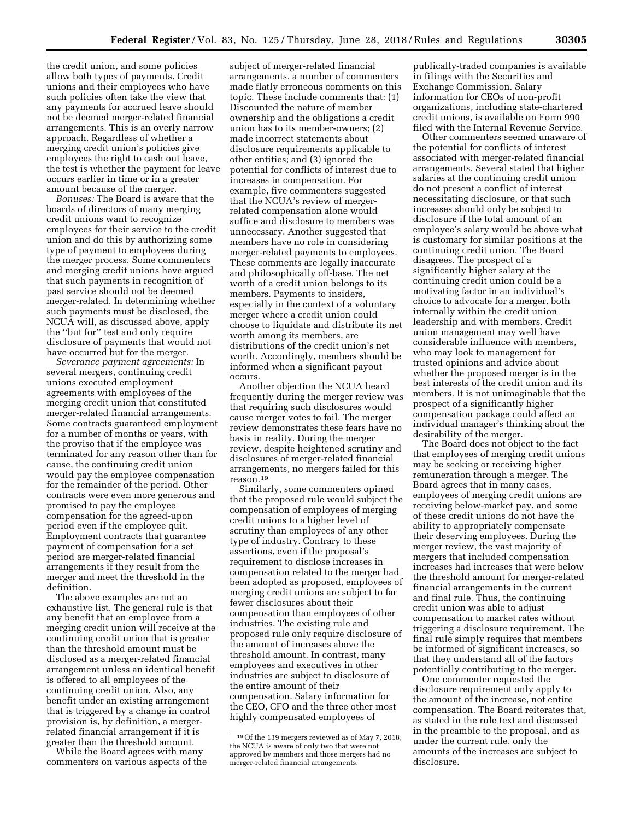the credit union, and some policies allow both types of payments. Credit unions and their employees who have such policies often take the view that any payments for accrued leave should not be deemed merger-related financial arrangements. This is an overly narrow approach. Regardless of whether a merging credit union's policies give employees the right to cash out leave, the test is whether the payment for leave occurs earlier in time or in a greater amount because of the merger.

*Bonuses:* The Board is aware that the boards of directors of many merging credit unions want to recognize employees for their service to the credit union and do this by authorizing some type of payment to employees during the merger process. Some commenters and merging credit unions have argued that such payments in recognition of past service should not be deemed merger-related. In determining whether such payments must be disclosed, the NCUA will, as discussed above, apply the ''but for'' test and only require disclosure of payments that would not have occurred but for the merger.

*Severance payment agreements:* In several mergers, continuing credit unions executed employment agreements with employees of the merging credit union that constituted merger-related financial arrangements. Some contracts guaranteed employment for a number of months or years, with the proviso that if the employee was terminated for any reason other than for cause, the continuing credit union would pay the employee compensation for the remainder of the period. Other contracts were even more generous and promised to pay the employee compensation for the agreed-upon period even if the employee quit. Employment contracts that guarantee payment of compensation for a set period are merger-related financial arrangements if they result from the merger and meet the threshold in the definition.

The above examples are not an exhaustive list. The general rule is that any benefit that an employee from a merging credit union will receive at the continuing credit union that is greater than the threshold amount must be disclosed as a merger-related financial arrangement unless an identical benefit is offered to all employees of the continuing credit union. Also, any benefit under an existing arrangement that is triggered by a change in control provision is, by definition, a mergerrelated financial arrangement if it is greater than the threshold amount.

While the Board agrees with many commenters on various aspects of the

subject of merger-related financial arrangements, a number of commenters made flatly erroneous comments on this topic. These include comments that: (1) Discounted the nature of member ownership and the obligations a credit union has to its member-owners; (2) made incorrect statements about disclosure requirements applicable to other entities; and (3) ignored the potential for conflicts of interest due to increases in compensation. For example, five commenters suggested that the NCUA's review of mergerrelated compensation alone would suffice and disclosure to members was unnecessary. Another suggested that members have no role in considering merger-related payments to employees. These comments are legally inaccurate and philosophically off-base. The net worth of a credit union belongs to its members. Payments to insiders, especially in the context of a voluntary merger where a credit union could choose to liquidate and distribute its net worth among its members, are distributions of the credit union's net worth. Accordingly, members should be informed when a significant payout occurs.

Another objection the NCUA heard frequently during the merger review was that requiring such disclosures would cause merger votes to fail. The merger review demonstrates these fears have no basis in reality. During the merger review, despite heightened scrutiny and disclosures of merger-related financial arrangements, no mergers failed for this reason.19

Similarly, some commenters opined that the proposed rule would subject the compensation of employees of merging credit unions to a higher level of scrutiny than employees of any other type of industry. Contrary to these assertions, even if the proposal's requirement to disclose increases in compensation related to the merger had been adopted as proposed, employees of merging credit unions are subject to far fewer disclosures about their compensation than employees of other industries. The existing rule and proposed rule only require disclosure of the amount of increases above the threshold amount. In contrast, many employees and executives in other industries are subject to disclosure of the entire amount of their compensation. Salary information for the CEO, CFO and the three other most highly compensated employees of

publically-traded companies is available in filings with the Securities and Exchange Commission. Salary information for CEOs of non-profit organizations, including state-chartered credit unions, is available on Form 990 filed with the Internal Revenue Service.

Other commenters seemed unaware of the potential for conflicts of interest associated with merger-related financial arrangements. Several stated that higher salaries at the continuing credit union do not present a conflict of interest necessitating disclosure, or that such increases should only be subject to disclosure if the total amount of an employee's salary would be above what is customary for similar positions at the continuing credit union. The Board disagrees. The prospect of a significantly higher salary at the continuing credit union could be a motivating factor in an individual's choice to advocate for a merger, both internally within the credit union leadership and with members. Credit union management may well have considerable influence with members, who may look to management for trusted opinions and advice about whether the proposed merger is in the best interests of the credit union and its members. It is not unimaginable that the prospect of a significantly higher compensation package could affect an individual manager's thinking about the desirability of the merger.

The Board does not object to the fact that employees of merging credit unions may be seeking or receiving higher remuneration through a merger. The Board agrees that in many cases, employees of merging credit unions are receiving below-market pay, and some of these credit unions do not have the ability to appropriately compensate their deserving employees. During the merger review, the vast majority of mergers that included compensation increases had increases that were below the threshold amount for merger-related financial arrangements in the current and final rule. Thus, the continuing credit union was able to adjust compensation to market rates without triggering a disclosure requirement. The final rule simply requires that members be informed of significant increases, so that they understand all of the factors potentially contributing to the merger.

One commenter requested the disclosure requirement only apply to the amount of the increase, not entire compensation. The Board reiterates that, as stated in the rule text and discussed in the preamble to the proposal, and as under the current rule, only the amounts of the increases are subject to disclosure.

<sup>19</sup>Of the 139 mergers reviewed as of May 7, 2018, the NCUA is aware of only two that were not approved by members and those mergers had no merger-related financial arrangements.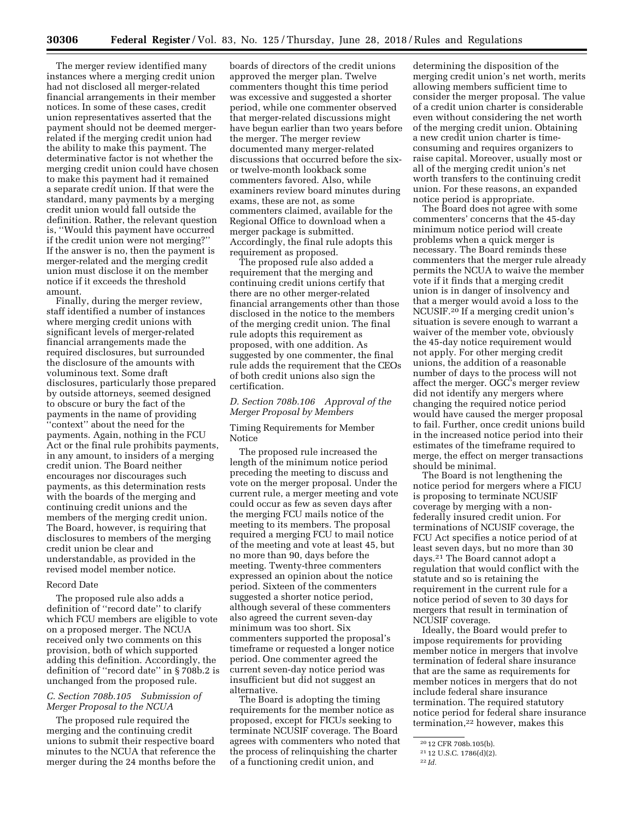The merger review identified many instances where a merging credit union had not disclosed all merger-related financial arrangements in their member notices. In some of these cases, credit union representatives asserted that the payment should not be deemed mergerrelated if the merging credit union had the ability to make this payment. The determinative factor is not whether the merging credit union could have chosen to make this payment had it remained a separate credit union. If that were the standard, many payments by a merging credit union would fall outside the definition. Rather, the relevant question is, ''Would this payment have occurred if the credit union were not merging?'' If the answer is no, then the payment is merger-related and the merging credit union must disclose it on the member notice if it exceeds the threshold amount.

Finally, during the merger review, staff identified a number of instances where merging credit unions with significant levels of merger-related financial arrangements made the required disclosures, but surrounded the disclosure of the amounts with voluminous text. Some draft disclosures, particularly those prepared by outside attorneys, seemed designed to obscure or bury the fact of the payments in the name of providing ''context'' about the need for the payments. Again, nothing in the FCU Act or the final rule prohibits payments, in any amount, to insiders of a merging credit union. The Board neither encourages nor discourages such payments, as this determination rests with the boards of the merging and continuing credit unions and the members of the merging credit union. The Board, however, is requiring that disclosures to members of the merging credit union be clear and understandable, as provided in the revised model member notice.

#### Record Date

The proposed rule also adds a definition of ''record date'' to clarify which FCU members are eligible to vote on a proposed merger. The NCUA received only two comments on this provision, both of which supported adding this definition. Accordingly, the definition of ''record date'' in § 708b.2 is unchanged from the proposed rule.

#### *C. Section 708b.105 Submission of Merger Proposal to the NCUA*

The proposed rule required the merging and the continuing credit unions to submit their respective board minutes to the NCUA that reference the merger during the 24 months before the

boards of directors of the credit unions approved the merger plan. Twelve commenters thought this time period was excessive and suggested a shorter period, while one commenter observed that merger-related discussions might have begun earlier than two years before the merger. The merger review documented many merger-related discussions that occurred before the sixor twelve-month lookback some commenters favored. Also, while examiners review board minutes during exams, these are not, as some commenters claimed, available for the Regional Office to download when a merger package is submitted. Accordingly, the final rule adopts this requirement as proposed.

The proposed rule also added a requirement that the merging and continuing credit unions certify that there are no other merger-related financial arrangements other than those disclosed in the notice to the members of the merging credit union. The final rule adopts this requirement as proposed, with one addition. As suggested by one commenter, the final rule adds the requirement that the CEOs of both credit unions also sign the certification.

#### *D. Section 708b.106 Approval of the Merger Proposal by Members*

Timing Requirements for Member Notice

The proposed rule increased the length of the minimum notice period preceding the meeting to discuss and vote on the merger proposal. Under the current rule, a merger meeting and vote could occur as few as seven days after the merging FCU mails notice of the meeting to its members. The proposal required a merging FCU to mail notice of the meeting and vote at least 45, but no more than 90, days before the meeting. Twenty-three commenters expressed an opinion about the notice period. Sixteen of the commenters suggested a shorter notice period, although several of these commenters also agreed the current seven-day minimum was too short. Six commenters supported the proposal's timeframe or requested a longer notice period. One commenter agreed the current seven-day notice period was insufficient but did not suggest an alternative.

The Board is adopting the timing requirements for the member notice as proposed, except for FICUs seeking to terminate NCUSIF coverage. The Board agrees with commenters who noted that the process of relinquishing the charter of a functioning credit union, and

determining the disposition of the merging credit union's net worth, merits allowing members sufficient time to consider the merger proposal. The value of a credit union charter is considerable even without considering the net worth of the merging credit union. Obtaining a new credit union charter is timeconsuming and requires organizers to raise capital. Moreover, usually most or all of the merging credit union's net worth transfers to the continuing credit union. For these reasons, an expanded notice period is appropriate.

The Board does not agree with some commenters' concerns that the 45-day minimum notice period will create problems when a quick merger is necessary. The Board reminds these commenters that the merger rule already permits the NCUA to waive the member vote if it finds that a merging credit union is in danger of insolvency and that a merger would avoid a loss to the NCUSIF.20 If a merging credit union's situation is severe enough to warrant a waiver of the member vote, obviously the 45-day notice requirement would not apply. For other merging credit unions, the addition of a reasonable number of days to the process will not affect the merger. OGC's merger review did not identify any mergers where changing the required notice period would have caused the merger proposal to fail. Further, once credit unions build in the increased notice period into their estimates of the timeframe required to merge, the effect on merger transactions should be minimal.

The Board is not lengthening the notice period for mergers where a FICU is proposing to terminate NCUSIF coverage by merging with a nonfederally insured credit union. For terminations of NCUSIF coverage, the FCU Act specifies a notice period of at least seven days, but no more than 30 days.21 The Board cannot adopt a regulation that would conflict with the statute and so is retaining the requirement in the current rule for a notice period of seven to 30 days for mergers that result in termination of NCUSIF coverage.

Ideally, the Board would prefer to impose requirements for providing member notice in mergers that involve termination of federal share insurance that are the same as requirements for member notices in mergers that do not include federal share insurance termination. The required statutory notice period for federal share insurance termination,22 however, makes this

<sup>20</sup> 12 CFR 708b.105(b).

<sup>21</sup> 12 U.S.C. 1786(d)(2).

<sup>22</sup> *Id.*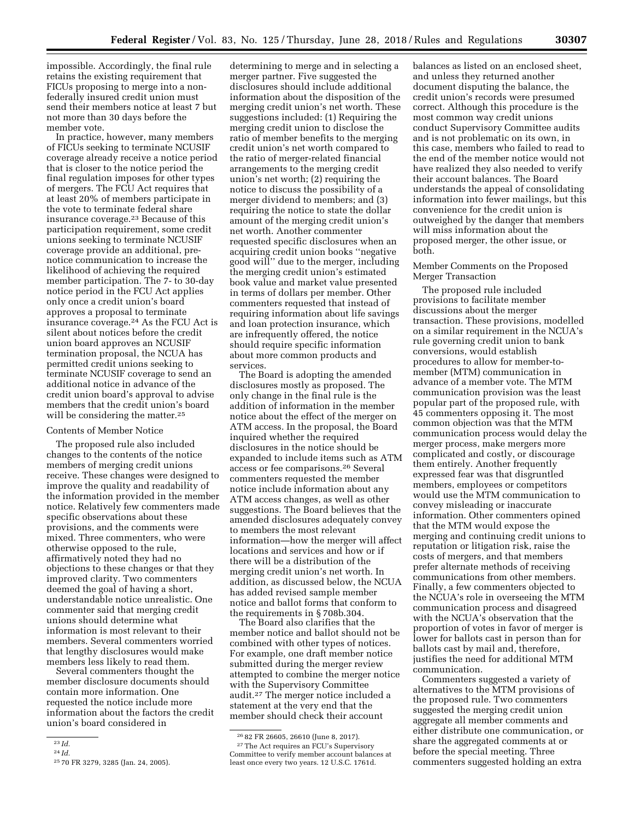impossible. Accordingly, the final rule retains the existing requirement that FICUs proposing to merge into a nonfederally insured credit union must send their members notice at least 7 but not more than 30 days before the member vote.

In practice, however, many members of FICUs seeking to terminate NCUSIF coverage already receive a notice period that is closer to the notice period the final regulation imposes for other types of mergers. The FCU Act requires that at least 20% of members participate in the vote to terminate federal share insurance coverage.23 Because of this participation requirement, some credit unions seeking to terminate NCUSIF coverage provide an additional, prenotice communication to increase the likelihood of achieving the required member participation. The 7- to 30-day notice period in the FCU Act applies only once a credit union's board approves a proposal to terminate insurance coverage.24 As the FCU Act is silent about notices before the credit union board approves an NCUSIF termination proposal, the NCUA has permitted credit unions seeking to terminate NCUSIF coverage to send an additional notice in advance of the credit union board's approval to advise members that the credit union's board will be considering the matter.<sup>25</sup>

#### Contents of Member Notice

The proposed rule also included changes to the contents of the notice members of merging credit unions receive. These changes were designed to improve the quality and readability of the information provided in the member notice. Relatively few commenters made specific observations about these provisions, and the comments were mixed. Three commenters, who were otherwise opposed to the rule, affirmatively noted they had no objections to these changes or that they improved clarity. Two commenters deemed the goal of having a short, understandable notice unrealistic. One commenter said that merging credit unions should determine what information is most relevant to their members. Several commenters worried that lengthy disclosures would make members less likely to read them.

Several commenters thought the member disclosure documents should contain more information. One requested the notice include more information about the factors the credit union's board considered in

determining to merge and in selecting a merger partner. Five suggested the disclosures should include additional information about the disposition of the merging credit union's net worth. These suggestions included: (1) Requiring the merging credit union to disclose the ratio of member benefits to the merging credit union's net worth compared to the ratio of merger-related financial arrangements to the merging credit union's net worth; (2) requiring the notice to discuss the possibility of a merger dividend to members; and (3) requiring the notice to state the dollar amount of the merging credit union's net worth. Another commenter requested specific disclosures when an acquiring credit union books ''negative good will'' due to the merger, including the merging credit union's estimated book value and market value presented in terms of dollars per member. Other commenters requested that instead of requiring information about life savings and loan protection insurance, which are infrequently offered, the notice should require specific information about more common products and services.

The Board is adopting the amended disclosures mostly as proposed. The only change in the final rule is the addition of information in the member notice about the effect of the merger on ATM access. In the proposal, the Board inquired whether the required disclosures in the notice should be expanded to include items such as ATM access or fee comparisons.26 Several commenters requested the member notice include information about any ATM access changes, as well as other suggestions. The Board believes that the amended disclosures adequately convey to members the most relevant information—how the merger will affect locations and services and how or if there will be a distribution of the merging credit union's net worth. In addition, as discussed below, the NCUA has added revised sample member notice and ballot forms that conform to the requirements in § 708b.304.

The Board also clarifies that the member notice and ballot should not be combined with other types of notices. For example, one draft member notice submitted during the merger review attempted to combine the merger notice with the Supervisory Committee audit.27 The merger notice included a statement at the very end that the member should check their account

balances as listed on an enclosed sheet, and unless they returned another document disputing the balance, the credit union's records were presumed correct. Although this procedure is the most common way credit unions conduct Supervisory Committee audits and is not problematic on its own, in this case, members who failed to read to the end of the member notice would not have realized they also needed to verify their account balances. The Board understands the appeal of consolidating information into fewer mailings, but this convenience for the credit union is outweighed by the danger that members will miss information about the proposed merger, the other issue, or both.

Member Comments on the Proposed Merger Transaction

The proposed rule included provisions to facilitate member discussions about the merger transaction. These provisions, modelled on a similar requirement in the NCUA's rule governing credit union to bank conversions, would establish procedures to allow for member-tomember (MTM) communication in advance of a member vote. The MTM communication provision was the least popular part of the proposed rule, with 45 commenters opposing it. The most common objection was that the MTM communication process would delay the merger process, make mergers more complicated and costly, or discourage them entirely. Another frequently expressed fear was that disgruntled members, employees or competitors would use the MTM communication to convey misleading or inaccurate information. Other commenters opined that the MTM would expose the merging and continuing credit unions to reputation or litigation risk, raise the costs of mergers, and that members prefer alternate methods of receiving communications from other members. Finally, a few commenters objected to the NCUA's role in overseeing the MTM communication process and disagreed with the NCUA's observation that the proportion of votes in favor of merger is lower for ballots cast in person than for ballots cast by mail and, therefore, justifies the need for additional MTM communication.

Commenters suggested a variety of alternatives to the MTM provisions of the proposed rule. Two commenters suggested the merging credit union aggregate all member comments and either distribute one communication, or share the aggregated comments at or before the special meeting. Three commenters suggested holding an extra

<sup>23</sup> *Id.* 

<sup>24</sup> *Id.* 

<sup>25</sup> 70 FR 3279, 3285 (Jan. 24, 2005).

<sup>26</sup> 82 FR 26605, 26610 (June 8, 2017). 27The Act requires an FCU's Supervisory Committee to verify member account balances at least once every two years. 12 U.S.C. 1761d.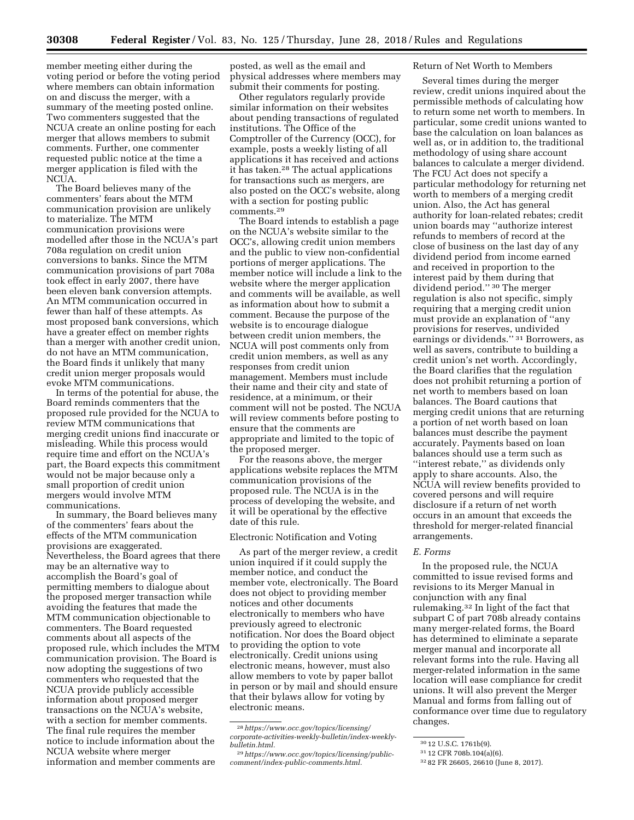member meeting either during the voting period or before the voting period where members can obtain information on and discuss the merger, with a summary of the meeting posted online. Two commenters suggested that the NCUA create an online posting for each merger that allows members to submit comments. Further, one commenter requested public notice at the time a merger application is filed with the NCUA.

The Board believes many of the commenters' fears about the MTM communication provision are unlikely to materialize. The MTM communication provisions were modelled after those in the NCUA's part 708a regulation on credit union conversions to banks. Since the MTM communication provisions of part 708a took effect in early 2007, there have been eleven bank conversion attempts. An MTM communication occurred in fewer than half of these attempts. As most proposed bank conversions, which have a greater effect on member rights than a merger with another credit union, do not have an MTM communication, the Board finds it unlikely that many credit union merger proposals would evoke MTM communications.

In terms of the potential for abuse, the Board reminds commenters that the proposed rule provided for the NCUA to review MTM communications that merging credit unions find inaccurate or misleading. While this process would require time and effort on the NCUA's part, the Board expects this commitment would not be major because only a small proportion of credit union mergers would involve MTM communications.

In summary, the Board believes many of the commenters' fears about the effects of the MTM communication provisions are exaggerated. Nevertheless, the Board agrees that there may be an alternative way to accomplish the Board's goal of permitting members to dialogue about the proposed merger transaction while avoiding the features that made the MTM communication objectionable to commenters. The Board requested comments about all aspects of the proposed rule, which includes the MTM communication provision. The Board is now adopting the suggestions of two commenters who requested that the NCUA provide publicly accessible information about proposed merger transactions on the NCUA's website, with a section for member comments. The final rule requires the member notice to include information about the NCUA website where merger information and member comments are

posted, as well as the email and physical addresses where members may submit their comments for posting.

Other regulators regularly provide similar information on their websites about pending transactions of regulated institutions. The Office of the Comptroller of the Currency (OCC), for example, posts a weekly listing of all applications it has received and actions it has taken.28 The actual applications for transactions such as mergers, are also posted on the OCC's website, along with a section for posting public comments.29

The Board intends to establish a page on the NCUA's website similar to the OCC's, allowing credit union members and the public to view non-confidential portions of merger applications. The member notice will include a link to the website where the merger application and comments will be available, as well as information about how to submit a comment. Because the purpose of the website is to encourage dialogue between credit union members, the NCUA will post comments only from credit union members, as well as any responses from credit union management. Members must include their name and their city and state of residence, at a minimum, or their comment will not be posted. The NCUA will review comments before posting to ensure that the comments are appropriate and limited to the topic of the proposed merger.

For the reasons above, the merger applications website replaces the MTM communication provisions of the proposed rule. The NCUA is in the process of developing the website, and it will be operational by the effective date of this rule.

Electronic Notification and Voting

As part of the merger review, a credit union inquired if it could supply the member notice, and conduct the member vote, electronically. The Board does not object to providing member notices and other documents electronically to members who have previously agreed to electronic notification. Nor does the Board object to providing the option to vote electronically. Credit unions using electronic means, however, must also allow members to vote by paper ballot in person or by mail and should ensure that their bylaws allow for voting by electronic means.

#### Return of Net Worth to Members

Several times during the merger review, credit unions inquired about the permissible methods of calculating how to return some net worth to members. In particular, some credit unions wanted to base the calculation on loan balances as well as, or in addition to, the traditional methodology of using share account balances to calculate a merger dividend. The FCU Act does not specify a particular methodology for returning net worth to members of a merging credit union. Also, the Act has general authority for loan-related rebates; credit union boards may ''authorize interest refunds to members of record at the close of business on the last day of any dividend period from income earned and received in proportion to the interest paid by them during that dividend period.'' 30 The merger regulation is also not specific, simply requiring that a merging credit union must provide an explanation of ''any provisions for reserves, undivided earnings or dividends.'' 31 Borrowers, as well as savers, contribute to building a credit union's net worth. Accordingly, the Board clarifies that the regulation does not prohibit returning a portion of net worth to members based on loan balances. The Board cautions that merging credit unions that are returning a portion of net worth based on loan balances must describe the payment accurately. Payments based on loan balances should use a term such as ''interest rebate,'' as dividends only apply to share accounts. Also, the NCUA will review benefits provided to covered persons and will require disclosure if a return of net worth occurs in an amount that exceeds the threshold for merger-related financial arrangements.

#### *E. Forms*

In the proposed rule, the NCUA committed to issue revised forms and revisions to its Merger Manual in conjunction with any final rulemaking.32 In light of the fact that subpart C of part 708b already contains many merger-related forms, the Board has determined to eliminate a separate merger manual and incorporate all relevant forms into the rule. Having all merger-related information in the same location will ease compliance for credit unions. It will also prevent the Merger Manual and forms from falling out of conformance over time due to regulatory changes.

<sup>28</sup>*[https://www.occ.gov/topics/licensing/](https://www.occ.gov/topics/licensing/corporate-activities-weekly-bulletin/index-weekly-bulletin.html)  [corporate-activities-weekly-bulletin/index-weekly](https://www.occ.gov/topics/licensing/corporate-activities-weekly-bulletin/index-weekly-bulletin.html)[bulletin.html.](https://www.occ.gov/topics/licensing/corporate-activities-weekly-bulletin/index-weekly-bulletin.html)* 

<sup>29</sup>*[https://www.occ.gov/topics/licensing/public](https://www.occ.gov/topics/licensing/public-comment/index-public-comments.html)[comment/index-public-comments.html.](https://www.occ.gov/topics/licensing/public-comment/index-public-comments.html)* 

<sup>30</sup> 12 U.S.C. 1761b(9).

<sup>31</sup> 12 CFR 708b.104(a)(6).

<sup>32</sup> 82 FR 26605, 26610 (June 8, 2017).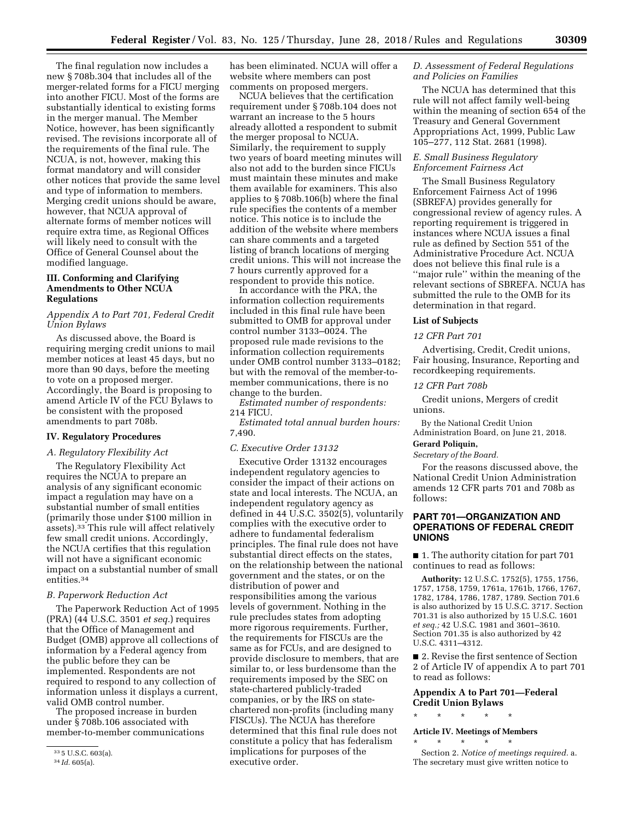The final regulation now includes a new § 708b.304 that includes all of the merger-related forms for a FICU merging into another FICU. Most of the forms are substantially identical to existing forms in the merger manual. The Member Notice, however, has been significantly revised. The revisions incorporate all of the requirements of the final rule. The NCUA, is not, however, making this format mandatory and will consider other notices that provide the same level and type of information to members. Merging credit unions should be aware, however, that NCUA approval of alternate forms of member notices will require extra time, as Regional Offices will likely need to consult with the Office of General Counsel about the modified language.

# **III. Conforming and Clarifying Amendments to Other NCUA Regulations**

#### *Appendix A to Part 701, Federal Credit Union Bylaws*

As discussed above, the Board is requiring merging credit unions to mail member notices at least 45 days, but no more than 90 days, before the meeting to vote on a proposed merger. Accordingly, the Board is proposing to amend Article IV of the FCU Bylaws to be consistent with the proposed amendments to part 708b.

#### **IV. Regulatory Procedures**

#### *A. Regulatory Flexibility Act*

The Regulatory Flexibility Act requires the NCUA to prepare an analysis of any significant economic impact a regulation may have on a substantial number of small entities (primarily those under \$100 million in assets).33 This rule will affect relatively few small credit unions. Accordingly, the NCUA certifies that this regulation will not have a significant economic impact on a substantial number of small entities.<sup>34</sup>

#### *B. Paperwork Reduction Act*

The Paperwork Reduction Act of 1995 (PRA) (44 U.S.C. 3501 *et seq.*) requires that the Office of Management and Budget (OMB) approve all collections of information by a Federal agency from the public before they can be implemented. Respondents are not required to respond to any collection of information unless it displays a current, valid OMB control number.

The proposed increase in burden under § 708b.106 associated with member-to-member communications

has been eliminated. NCUA will offer a website where members can post comments on proposed mergers.

NCUA believes that the certification requirement under § 708b.104 does not warrant an increase to the 5 hours already allotted a respondent to submit the merger proposal to NCUA. Similarly, the requirement to supply two years of board meeting minutes will also not add to the burden since FICUs must maintain these minutes and make them available for examiners. This also applies to § 708b.106(b) where the final rule specifies the contents of a member notice. This notice is to include the addition of the website where members can share comments and a targeted listing of branch locations of merging credit unions. This will not increase the 7 hours currently approved for a respondent to provide this notice.

In accordance with the PRA, the information collection requirements included in this final rule have been submitted to OMB for approval under control number 3133–0024. The proposed rule made revisions to the information collection requirements under OMB control number 3133–0182; but with the removal of the member-tomember communications, there is no change to the burden.

*Estimated number of respondents:*  214 FICU.

*Estimated total annual burden hours:*  7,490.

#### *C. Executive Order 13132*

Executive Order 13132 encourages independent regulatory agencies to consider the impact of their actions on state and local interests. The NCUA, an independent regulatory agency as defined in 44 U.S.C. 3502(5), voluntarily complies with the executive order to adhere to fundamental federalism principles. The final rule does not have substantial direct effects on the states, on the relationship between the national government and the states, or on the distribution of power and responsibilities among the various levels of government. Nothing in the rule precludes states from adopting more rigorous requirements. Further, the requirements for FISCUs are the same as for FCUs, and are designed to provide disclosure to members, that are similar to, or less burdensome than the requirements imposed by the SEC on state-chartered publicly-traded companies, or by the IRS on statechartered non-profits (including many FISCUs). The NCUA has therefore determined that this final rule does not constitute a policy that has federalism implications for purposes of the executive order.

#### *D. Assessment of Federal Regulations and Policies on Families*

The NCUA has determined that this rule will not affect family well-being within the meaning of section 654 of the Treasury and General Government Appropriations Act, 1999, Public Law 105–277, 112 Stat. 2681 (1998).

#### *E. Small Business Regulatory Enforcement Fairness Act*

The Small Business Regulatory Enforcement Fairness Act of 1996 (SBREFA) provides generally for congressional review of agency rules. A reporting requirement is triggered in instances where NCUA issues a final rule as defined by Section 551 of the Administrative Procedure Act. NCUA does not believe this final rule is a ''major rule'' within the meaning of the relevant sections of SBREFA. NCUA has submitted the rule to the OMB for its determination in that regard.

#### **List of Subjects**

#### *12 CFR Part 701*

Advertising, Credit, Credit unions, Fair housing, Insurance, Reporting and recordkeeping requirements.

#### *12 CFR Part 708b*

Credit unions, Mergers of credit unions.

By the National Credit Union Administration Board, on June 21, 2018.

# **Gerard Poliquin,**

*Secretary of the Board.* 

For the reasons discussed above, the National Credit Union Administration amends 12 CFR parts 701 and 708b as follows:

#### **PART 701—ORGANIZATION AND OPERATIONS OF FEDERAL CREDIT UNIONS**

■ 1. The authority citation for part 701 continues to read as follows:

**Authority:** 12 U.S.C. 1752(5), 1755, 1756, 1757, 1758, 1759, 1761a, 1761b, 1766, 1767, 1782, 1784, 1786, 1787, 1789. Section 701.6 is also authorized by 15 U.S.C. 3717. Section 701.31 is also authorized by 15 U.S.C. 1601 *et seq.;* 42 U.S.C. 1981 and 3601–3610. Section 701.35 is also authorized by 42 U.S.C. 4311–4312.

■ 2. Revise the first sentence of Section 2 of Article IV of appendix A to part 701 to read as follows:

#### **Appendix A to Part 701—Federal Credit Union Bylaws**

\* \* \* \* \*

\* \* \* \* \*

#### **Article IV. Meetings of Members**

Section 2. *Notice of meetings required.* a. The secretary must give written notice to

<sup>33</sup> 5 U.S.C. 603(a).

<sup>34</sup> *Id.* 605(a).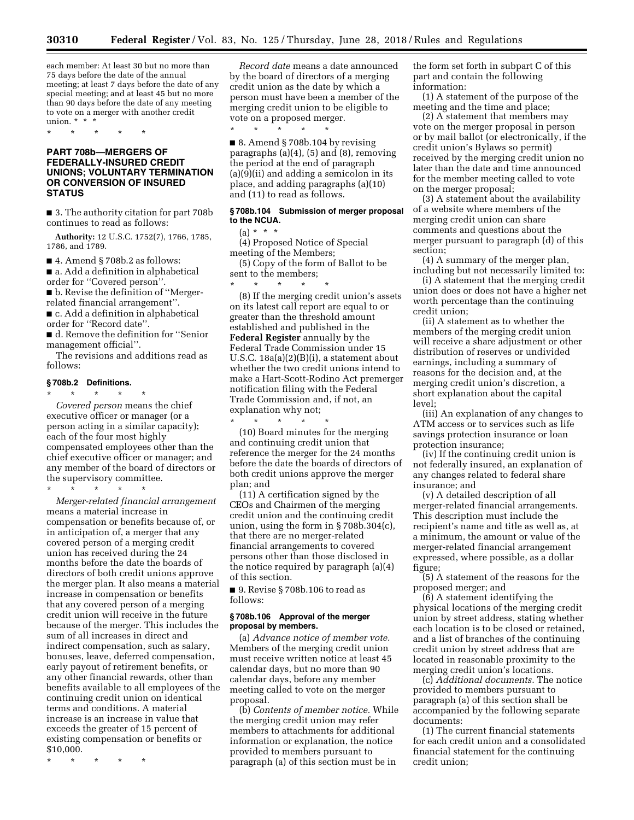\* \* \* \* \*

each member: At least 30 but no more than 75 days before the date of the annual meeting; at least 7 days before the date of any special meeting; and at least 45 but no more than 90 days before the date of any meeting to vote on a merger with another credit union. \* \* \*

### **PART 708b—MERGERS OF FEDERALLY-INSURED CREDIT UNIONS; VOLUNTARY TERMINATION OR CONVERSION OF INSURED STATUS**

\* \* \* \* \*

■ 3. The authority citation for part 708b continues to read as follows:

**Authority:** 12 U.S.C. 1752(7), 1766, 1785, 1786, and 1789.

■ 4. Amend § 708b.2 as follows:

■ a. Add a definition in alphabetical order for ''Covered person''.

■ b. Revise the definition of "Mergerrelated financial arrangement''.

■ c. Add a definition in alphabetical order for ''Record date''.

■ d. Remove the definition for "Senior management official''.

The revisions and additions read as follows:

## **§ 708b.2 Definitions.**

\* \* \* \* \* *Covered person* means the chief executive officer or manager (or a person acting in a similar capacity); each of the four most highly compensated employees other than the chief executive officer or manager; and any member of the board of directors or the supervisory committee.

\* \* \* \* \*

*Merger-related financial arrangement*  means a material increase in compensation or benefits because of, or in anticipation of, a merger that any covered person of a merging credit union has received during the 24 months before the date the boards of directors of both credit unions approve the merger plan. It also means a material increase in compensation or benefits that any covered person of a merging credit union will receive in the future because of the merger. This includes the sum of all increases in direct and indirect compensation, such as salary, bonuses, leave, deferred compensation, early payout of retirement benefits, or any other financial rewards, other than benefits available to all employees of the continuing credit union on identical terms and conditions. A material increase is an increase in value that exceeds the greater of 15 percent of existing compensation or benefits or \$10,000.

\* \* \* \* \*

*Record date* means a date announced by the board of directors of a merging credit union as the date by which a person must have been a member of the merging credit union to be eligible to vote on a proposed merger.

■ 8. Amend § 708b.104 by revising paragraphs (a)(4), (5) and (8), removing the period at the end of paragraph (a)(9)(ii) and adding a semicolon in its place, and adding paragraphs (a)(10) and (11) to read as follows.

#### **§ 708b.104 Submission of merger proposal to the NCUA.**

 $(a) * * * *$ 

(4) Proposed Notice of Special meeting of the Members;

(5) Copy of the form of Ballot to be sent to the members;

\* \* \* \* \* (8) If the merging credit union's assets on its latest call report are equal to or greater than the threshold amount established and published in the **Federal Register** annually by the Federal Trade Commission under 15 U.S.C. 18a(a)(2)(B)(i), a statement about whether the two credit unions intend to make a Hart-Scott-Rodino Act premerger notification filing with the Federal Trade Commission and, if not, an explanation why not; \* \* \* \* \*

(10) Board minutes for the merging and continuing credit union that reference the merger for the 24 months before the date the boards of directors of both credit unions approve the merger plan; and

(11) A certification signed by the CEOs and Chairmen of the merging credit union and the continuing credit union, using the form in § 708b.304(c), that there are no merger-related financial arrangements to covered persons other than those disclosed in the notice required by paragraph (a)(4) of this section.

■ 9. Revise § 708b.106 to read as follows:

#### **§ 708b.106 Approval of the merger proposal by members.**

(a) *Advance notice of member vote.*  Members of the merging credit union must receive written notice at least 45 calendar days, but no more than 90 calendar days, before any member meeting called to vote on the merger proposal.

(b) *Contents of member notice.* While the merging credit union may refer members to attachments for additional information or explanation, the notice provided to members pursuant to paragraph (a) of this section must be in

the form set forth in subpart C of this part and contain the following information:

(1) A statement of the purpose of the meeting and the time and place;

(2) A statement that members may vote on the merger proposal in person or by mail ballot (or electronically, if the credit union's Bylaws so permit) received by the merging credit union no later than the date and time announced for the member meeting called to vote on the merger proposal;

(3) A statement about the availability of a website where members of the merging credit union can share comments and questions about the merger pursuant to paragraph (d) of this section;

(4) A summary of the merger plan, including but not necessarily limited to:

(i) A statement that the merging credit union does or does not have a higher net worth percentage than the continuing credit union;

(ii) A statement as to whether the members of the merging credit union will receive a share adjustment or other distribution of reserves or undivided earnings, including a summary of reasons for the decision and, at the merging credit union's discretion, a short explanation about the capital level;

(iii) An explanation of any changes to ATM access or to services such as life savings protection insurance or loan protection insurance;

(iv) If the continuing credit union is not federally insured, an explanation of any changes related to federal share insurance; and

(v) A detailed description of all merger-related financial arrangements. This description must include the recipient's name and title as well as, at a minimum, the amount or value of the merger-related financial arrangement expressed, where possible, as a dollar figure;

(5) A statement of the reasons for the proposed merger; and

(6) A statement identifying the physical locations of the merging credit union by street address, stating whether each location is to be closed or retained, and a list of branches of the continuing credit union by street address that are located in reasonable proximity to the merging credit union's locations.

(c) *Additional documents.* The notice provided to members pursuant to paragraph (a) of this section shall be accompanied by the following separate documents:

(1) The current financial statements for each credit union and a consolidated financial statement for the continuing credit union;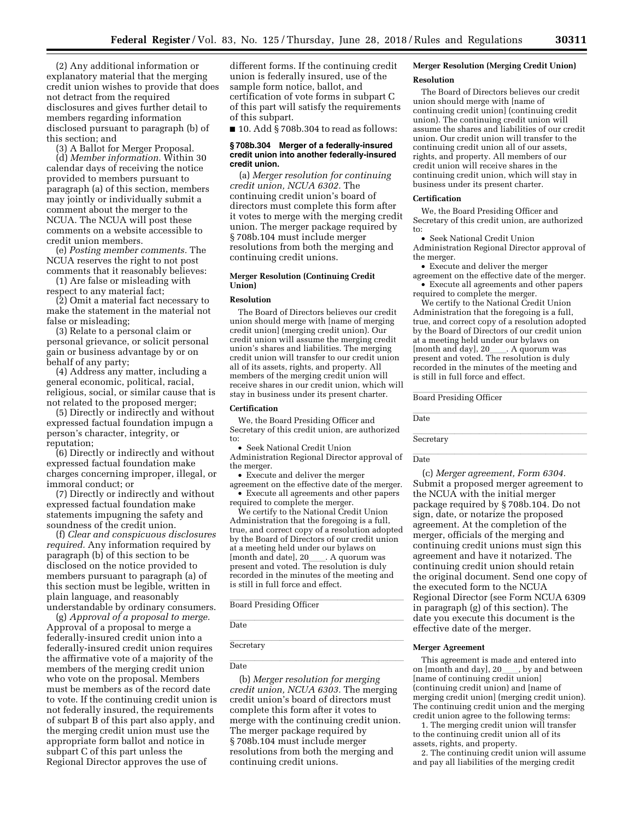(2) Any additional information or explanatory material that the merging credit union wishes to provide that does not detract from the required disclosures and gives further detail to members regarding information disclosed pursuant to paragraph (b) of this section; and

(3) A Ballot for Merger Proposal.

(d) *Member information.* Within 30 calendar days of receiving the notice provided to members pursuant to paragraph (a) of this section, members may jointly or individually submit a comment about the merger to the NCUA. The NCUA will post these comments on a website accessible to credit union members.

(e) *Posting member comments.* The NCUA reserves the right to not post comments that it reasonably believes:

(1) Are false or misleading with respect to any material fact;

(2) Omit a material fact necessary to make the statement in the material not false or misleading;

(3) Relate to a personal claim or personal grievance, or solicit personal gain or business advantage by or on behalf of any party;

(4) Address any matter, including a general economic, political, racial, religious, social, or similar cause that is not related to the proposed merger;

(5) Directly or indirectly and without expressed factual foundation impugn a person's character, integrity, or reputation;

(6) Directly or indirectly and without expressed factual foundation make charges concerning improper, illegal, or immoral conduct; or

(7) Directly or indirectly and without expressed factual foundation make statements impugning the safety and soundness of the credit union.

(f) *Clear and conspicuous disclosures required.* Any information required by paragraph (b) of this section to be disclosed on the notice provided to members pursuant to paragraph (a) of this section must be legible, written in plain language, and reasonably understandable by ordinary consumers.

(g) *Approval of a proposal to merge.*  Approval of a proposal to merge a federally-insured credit union into a federally-insured credit union requires the affirmative vote of a majority of the members of the merging credit union who vote on the proposal. Members must be members as of the record date to vote. If the continuing credit union is not federally insured, the requirements of subpart B of this part also apply, and the merging credit union must use the appropriate form ballot and notice in subpart C of this part unless the Regional Director approves the use of

different forms. If the continuing credit union is federally insured, use of the sample form notice, ballot, and certification of vote forms in subpart C of this part will satisfy the requirements of this subpart.

■ 10. Add § 708b.304 to read as follows:

#### **§ 708b.304 Merger of a federally-insured credit union into another federally-insured credit union.**

(a) *Merger resolution for continuing credit union, NCUA 6302.* The continuing credit union's board of directors must complete this form after it votes to merge with the merging credit union. The merger package required by § 708b.104 must include merger resolutions from both the merging and continuing credit unions.

#### **Merger Resolution (Continuing Credit Union)**

#### **Resolution**

The Board of Directors believes our credit union should merge with [name of merging credit union] (merging credit union). Our credit union will assume the merging credit union's shares and liabilities. The merging credit union will transfer to our credit union all of its assets, rights, and property. All members of the merging credit union will receive shares in our credit union, which will stay in business under its present charter.

#### **Certification**

We, the Board Presiding Officer and Secretary of this credit union, are authorized to:

• Seek National Credit Union

Administration Regional Director approval of the merger.

• Execute and deliver the merger

agreement on the effective date of the merger. • Execute all agreements and other papers required to complete the merger.

We certify to the National Credit Union Administration that the foregoing is a full, true, and correct copy of a resolution adopted by the Board of Directors of our credit union at a meeting held under our bylaws on<br>[month and date], 20 . A quorum was [month and date], 20\_\_\_\_. A quorum was<br>present and voted. The resolution is duly recorded in the minutes of the meeting and is still in full force and effect.

**Board Presiding Officer** 

llate and the control of the control of the control of the control of the control of the control of the control of the control of the control of the control of the control of the control of the control of the control of th Date

Secretary **Execution Control** Library **Control Library** 

#### **Date** Date

(b) *Merger resolution for merging credit union, NCUA 6303.* The merging credit union's board of directors must complete this form after it votes to merge with the continuing credit union. The merger package required by § 708b.104 must include merger resolutions from both the merging and continuing credit unions.

# **Merger Resolution (Merging Credit Union)**

#### **Resolution**

The Board of Directors believes our credit union should merge with [name of continuing credit union] (continuing credit union). The continuing credit union will assume the shares and liabilities of our credit union. Our credit union will transfer to the continuing credit union all of our assets, rights, and property. All members of our credit union will receive shares in the continuing credit union, which will stay in business under its present charter.

#### **Certification**

We, the Board Presiding Officer and Secretary of this credit union, are authorized to:

• Seek National Credit Union Administration Regional Director approval of the merger.

• Execute and deliver the merger

agreement on the effective date of the merger. • Execute all agreements and other papers required to complete the merger.

We certify to the National Credit Union Administration that the foregoing is a full, true, and correct copy of a resolution adopted by the Board of Directors of our credit union at a meeting held under our bylaws on<br>[month and day], 20 . A quorum was [month and day], 20\_\_\_\_. A quorum was<br>present and voted. The resolution is duly recorded in the minutes of the meeting and is still in full force and effect.

**Board Presiding Officer** 

llate and the control of the control of the control of the control of the control of the control of the control of the control of the control of the control of the control of the control of the control of the control of th Date

**Secretary Exercise 2** 

llate and the control of the control of the control of the control of the control of the control of the control of the control of the control of the control of the control of the control of the control of the control of th Date

(c) *Merger agreement, Form 6304.*  Submit a proposed merger agreement to the NCUA with the initial merger package required by § 708b.104. Do not sign, date, or notarize the proposed agreement. At the completion of the merger, officials of the merging and continuing credit unions must sign this agreement and have it notarized. The continuing credit union should retain the original document. Send one copy of the executed form to the NCUA Regional Director (see Form NCUA 6309 in paragraph (g) of this section). The date you execute this document is the effective date of the merger.

#### **Merger Agreement**

This agreement is made and entered into<br>on [month and day], 20 , by and between on [month and day], 20\_\_\_\_, by and between<br>[name of continuing credit union] (continuing credit union) and [name of merging credit union] (merging credit union). The continuing credit union and the merging credit union agree to the following terms:

1. The merging credit union will transfer to the continuing credit union all of its assets, rights, and property.

2. The continuing credit union will assume and pay all liabilities of the merging credit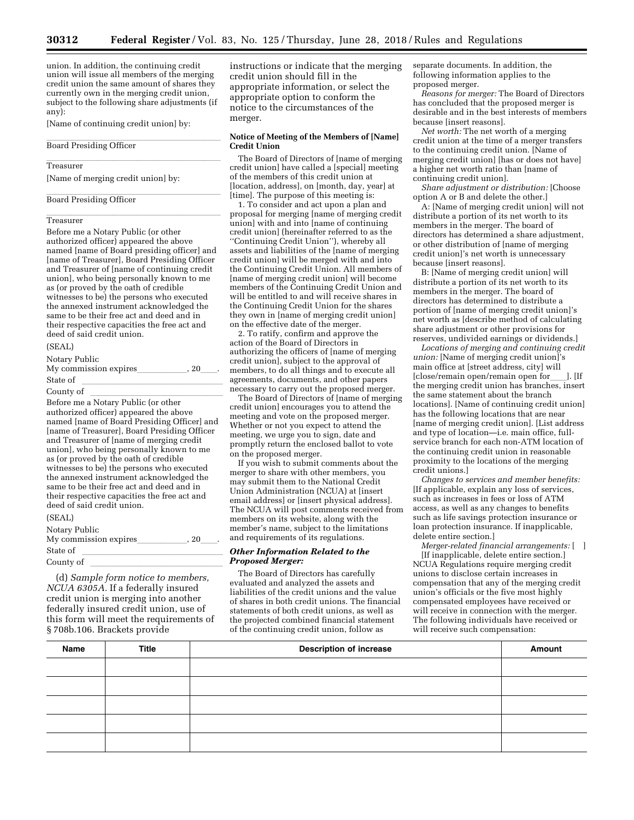union. In addition, the continuing credit union will issue all members of the merging credit union the same amount of shares they currently own in the merging credit union, subject to the following share adjustments (if any):

[Name of continuing credit union] by:

**Board Presiding Officer** 

# ll<br>Treasurer

[Name of merging credit union] by:

# **Board Presiding Officer**

# ll<br>Treasurer

Before me a Notary Public (or other authorized officer) appeared the above named [name of Board presiding officer] and [name of Treasurer], Board Presiding Officer and Treasurer of [name of continuing credit union], who being personally known to me as (or proved by the oath of credible witnesses to be) the persons who executed the annexed instrument acknowledged the same to be their free act and deed and in their respective capacities the free act and deed of said credit union.

#### (SEAL)

Notary Public My commission expiresllllll, 20ll.

State of <u>Indian Indian State of</u> Lemma and State of Lemma and Indian Indian Indian Indian Indian Indian Indian In<br>Country of

County of llllllllllllllll Before me a Notary Public (or other authorized officer) appeared the above named [name of Board Presiding Officer] and [name of Treasurer], Board Presiding Officer and Treasurer of [name of merging credit union], who being personally known to me as (or proved by the oath of credible witnesses to be) the persons who executed the annexed instrument acknowledged the same to be their free act and deed and in their respective capacities the free act and deed of said credit union.

| ۰.<br>. .<br>. |  |
|----------------|--|
|                |  |

| Notary Public<br>My commission expires | , 20 |  |
|----------------------------------------|------|--|
| State of                               |      |  |
| County of                              |      |  |
|                                        |      |  |

(d) *Sample form notice to members, NCUA 6305A.* If a federally insured credit union is merging into another federally insured credit union, use of this form will meet the requirements of § 708b.106. Brackets provide

instructions or indicate that the merging credit union should fill in the appropriate information, or select the appropriate option to conform the notice to the circumstances of the merger.

#### **Notice of Meeting of the Members of [Name] Credit Union**

The Board of Directors of [name of merging credit union] have called a [special] meeting of the members of this credit union at [location, address], on [month, day, year] at [time]. The purpose of this meeting is:

1. To consider and act upon a plan and proposal for merging [name of merging credit union] with and into [name of continuing credit union] (hereinafter referred to as the ''Continuing Credit Union''), whereby all assets and liabilities of the [name of merging credit union] will be merged with and into the Continuing Credit Union. All members of [name of merging credit union] will become members of the Continuing Credit Union and will be entitled to and will receive shares in the Continuing Credit Union for the shares they own in [name of merging credit union] on the effective date of the merger.

2. To ratify, confirm and approve the action of the Board of Directors in authorizing the officers of [name of merging credit union], subject to the approval of members, to do all things and to execute all agreements, documents, and other papers necessary to carry out the proposed merger.

The Board of Directors of [name of merging credit union] encourages you to attend the meeting and vote on the proposed merger. Whether or not you expect to attend the meeting, we urge you to sign, date and promptly return the enclosed ballot to vote on the proposed merger.

If you wish to submit comments about the merger to share with other members, you may submit them to the National Credit Union Administration (NCUA) at [insert email address] or [insert physical address]. The NCUA will post comments received from members on its website, along with the member's name, subject to the limitations and requirements of its regulations.

#### *Other Information Related to the Proposed Merger:*

The Board of Directors has carefully evaluated and analyzed the assets and liabilities of the credit unions and the value of shares in both credit unions. The financial statements of both credit unions, as well as the projected combined financial statement of the continuing credit union, follow as

separate documents. In addition, the following information applies to the proposed merger.

*Reasons for merger:* The Board of Directors has concluded that the proposed merger is desirable and in the best interests of members because [insert reasons].

*Net worth:* The net worth of a merging credit union at the time of a merger transfers to the continuing credit union. [Name of merging credit union] [has or does not have] a higher net worth ratio than [name of continuing credit union].

*Share adjustment or distribution:* [Choose option A or B and delete the other.]

A: [Name of merging credit union] will not distribute a portion of its net worth to its members in the merger. The board of directors has determined a share adjustment, or other distribution of [name of merging credit union]'s net worth is unnecessary because [insert reasons].

B: [Name of merging credit union] will distribute a portion of its net worth to its members in the merger. The board of directors has determined to distribute a portion of [name of merging credit union]'s net worth as [describe method of calculating share adjustment or other provisions for reserves, undivided earnings or dividends.]

*Locations of merging and continuing credit union:* [Name of merging credit union]'s main office at [street address, city] will [close/remain open/remain open for\_\_\_\_]. [If<br>the merging credit union has branches, insert the same statement about the branch locations]. [Name of continuing credit union] has the following locations that are near [name of merging credit union]. [List address and type of location—i.e. main office, fullservice branch for each non-ATM location of the continuing credit union in reasonable proximity to the locations of the merging credit unions.]

*Changes to services and member benefits:*  [If applicable, explain any loss of services, such as increases in fees or loss of ATM access, as well as any changes to benefits such as life savings protection insurance or loan protection insurance. If inapplicable, delete entire section.]

*Merger-related financial arrangements:* [ ] [If inapplicable, delete entire section.] NCUA Regulations require merging credit unions to disclose certain increases in compensation that any of the merging credit union's officials or the five most highly compensated employees have received or will receive in connection with the merger. The following individuals have received or will receive such compensation:

| Name | <b>Title</b> | <b>Description of increase</b> | Amount |
|------|--------------|--------------------------------|--------|
|      |              |                                |        |
|      |              |                                |        |
|      |              |                                |        |
|      |              |                                |        |
|      |              |                                |        |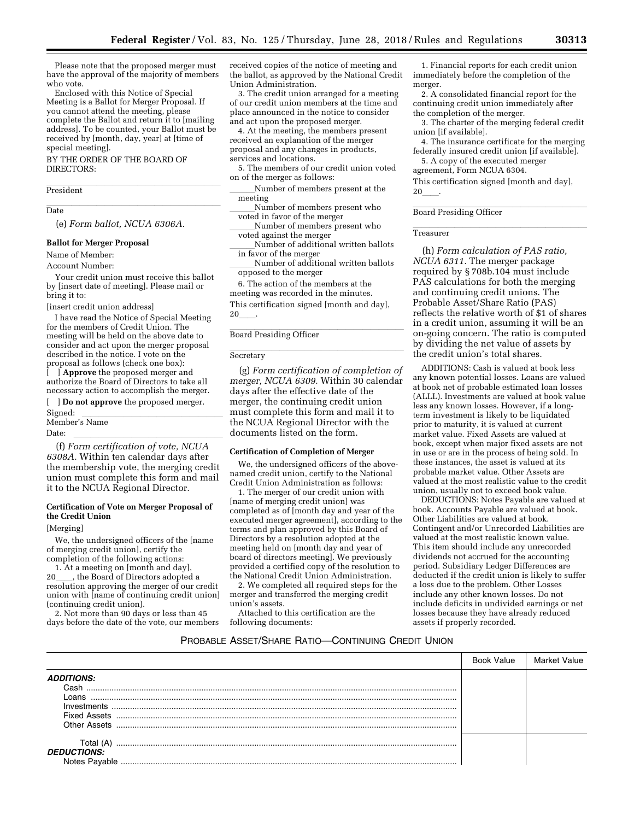Please note that the proposed merger must have the approval of the majority of members who vote.

Enclosed with this Notice of Special Meeting is a Ballot for Merger Proposal. If you cannot attend the meeting, please complete the Ballot and return it to [mailing address]. To be counted, your Ballot must be received by [month, day, year] at [time of special meeting].

BY THE ORDER OF THE BOARD OF DIRECTORS:

President

llate and the control of the control of the control of the control of the control of the control of the control of the control of the control of the control of the control of the control of the control of the control of th **Date** 

(e) *Form ballot, NCUA 6306A.* 

#### **Ballot for Merger Proposal**

Name of Member:

Account Number:

Your credit union must receive this ballot by [insert date of meeting]. Please mail or bring it to:

[insert credit union address]

I have read the Notice of Special Meeting for the members of Credit Union. The meeting will be held on the above date to consider and act upon the merger proposal described in the notice. I vote on the proposal as follows (check one box):

[ ] **Approve** the proposed merger and authorize the Board of Directors to take all necessary action to accomplish the merger.

# [ ] **Do not approve** the proposed merger. Signed: lllllllllllllllll Member's Name

Date: llllllllllllllllll (f) *Form certification of vote, NCUA 6308A.* Within ten calendar days after the membership vote, the merging credit union must complete this form and mail it to the NCUA Regional Director.

#### **Certification of Vote on Merger Proposal of the Credit Union**

[Merging]

We, the undersigned officers of the [name of merging credit union], certify the completion of the following actions:

1. At a meeting on [month and day],<br>, the Board of Directors adopted a 20\_\_\_\_, the Board of Directors adopted a<br>resolution approving the merger of our credit union with [name of continuing credit union] (continuing credit union).

2. Not more than 90 days or less than 45 days before the date of the vote, our members

received copies of the notice of meeting and the ballot, as approved by the National Credit Union Administration.

3. The credit union arranged for a meeting of our credit union members at the time and place announced in the notice to consider and act upon the proposed merger.

4. At the meeting, the members present received an explanation of the merger proposal and any changes in products, services and locations.

5. The members of our credit union voted on of the merger as follows:

Number of members present at the meeting

Number of members present who voted in favor of the merger

Number of members present who voted against the merger

Number of additional written ballots

in favor of the merger Number of additional written ballots

opposed to the merger

6. The action of the members at the meeting was recorded in the minutes. This certification signed [month and day], **20** 

**Board Presiding Officer** 

# **Secretary Exercise 2**

(g) *Form certification of completion of merger, NCUA 6309.* Within 30 calendar days after the effective date of the merger, the continuing credit union must complete this form and mail it to the NCUA Regional Director with the documents listed on the form.

#### **Certification of Completion of Merger**

We, the undersigned officers of the abovenamed credit union, certify to the National Credit Union Administration as follows:

1. The merger of our credit union with [name of merging credit union] was completed as of [month day and year of the executed merger agreement], according to the terms and plan approved by this Board of Directors by a resolution adopted at the meeting held on [month day and year of board of directors meeting]. We previously provided a certified copy of the resolution to the National Credit Union Administration.

2. We completed all required steps for the merger and transferred the merging credit union's assets.

Attached to this certification are the following documents:

1. Financial reports for each credit union immediately before the completion of the merger.

2. A consolidated financial report for the continuing credit union immediately after the completion of the merger.

3. The charter of the merging federal credit union [if available].

4. The insurance certificate for the merging federally insured credit union [if available].

5. A copy of the executed merger agreement, Form NCUA 6304.

This certification signed [month and day],  $20\,$ 

# **Board Presiding Officer**

# ll<br>Treasurer

(h) *Form calculation of PAS ratio, NCUA 6311.* The merger package required by § 708b.104 must include PAS calculations for both the merging and continuing credit unions. The Probable Asset/Share Ratio (PAS) reflects the relative worth of \$1 of shares in a credit union, assuming it will be an on-going concern. The ratio is computed by dividing the net value of assets by the credit union's total shares.

ADDITIONS: Cash is valued at book less any known potential losses. Loans are valued at book net of probable estimated loan losses (ALLL). Investments are valued at book value less any known losses. However, if a longterm investment is likely to be liquidated prior to maturity, it is valued at current market value. Fixed Assets are valued at book, except when major fixed assets are not in use or are in the process of being sold. In these instances, the asset is valued at its probable market value. Other Assets are valued at the most realistic value to the credit union, usually not to exceed book value.

DEDUCTIONS: Notes Payable are valued at book. Accounts Payable are valued at book. Other Liabilities are valued at book. Contingent and/or Unrecorded Liabilities are valued at the most realistic known value. This item should include any unrecorded dividends not accrued for the accounting period. Subsidiary Ledger Differences are deducted if the credit union is likely to suffer a loss due to the problem. Other Losses include any other known losses. Do not include deficits in undivided earnings or net losses because they have already reduced assets if properly recorded.

# PROBABLE ASSET/SHARE RATIO—CONTINUING CREDIT UNION

|                              | Book Value |  |
|------------------------------|------------|--|
| <b>ADDITIONS:</b>            |            |  |
| Cash                         |            |  |
| Loans                        |            |  |
| Investments                  |            |  |
| Fixed Assets<br>Other Assets |            |  |
|                              |            |  |
| Total (A)                    |            |  |
| <b>DEDUCTIONS:</b>           |            |  |
|                              |            |  |